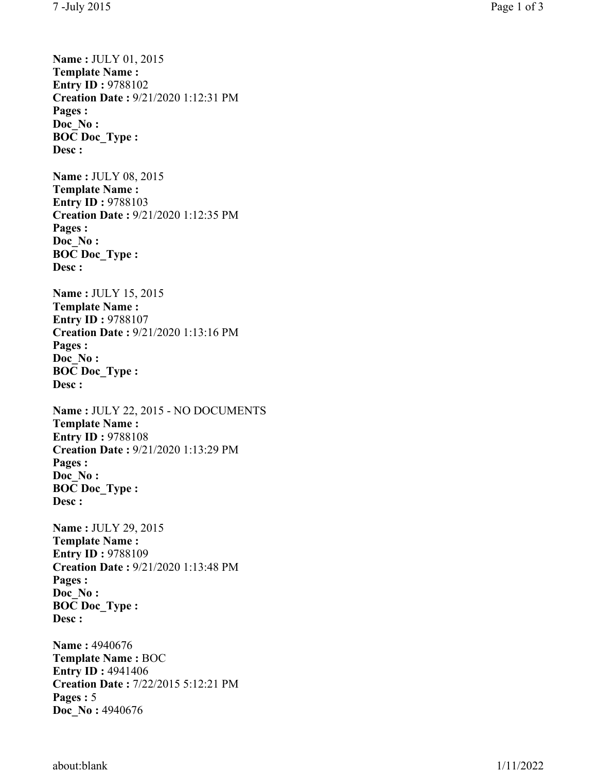**Name :** JULY 01, 2015 **Template Name : Entry ID: 9788102 Creation Date :** 9/21/2020 1:12:31 PM **Pages : Doc\_No : BOC Doc\_Type : Desc : Name :** JULY 08, 2015 **Template Name : Entry ID: 9788103 Creation Date :** 9/21/2020 1:12:35 PM **Pages : Doc\_No : BOC Doc\_Type : Desc : Name :** JULY 15, 2015 **Template Name : Entry ID: 9788107 Creation Date :** 9/21/2020 1:13:16 PM **Pages : Doc\_No : BOC Doc\_Type : Desc : Name :** JULY 22, 2015 - NO DOCUMENTS **Template Name : Entry ID :** 9788108 **Creation Date :** 9/21/2020 1:13:29 PM **Pages : Doc\_No : BOC Doc\_Type : Desc : Name :** JULY 29, 2015 **Template Name : Entry ID: 9788109 Creation Date :** 9/21/2020 1:13:48 PM **Pages : Doc\_No : BOC Doc\_Type : Desc : Name :** 4940676 **Template Name :** BOC **Entry ID: 4941406 Creation Date :** 7/22/2015 5:12:21 PM **Pages :**  5

about:blank 1/11/2022

**Doc\_No :** 4940676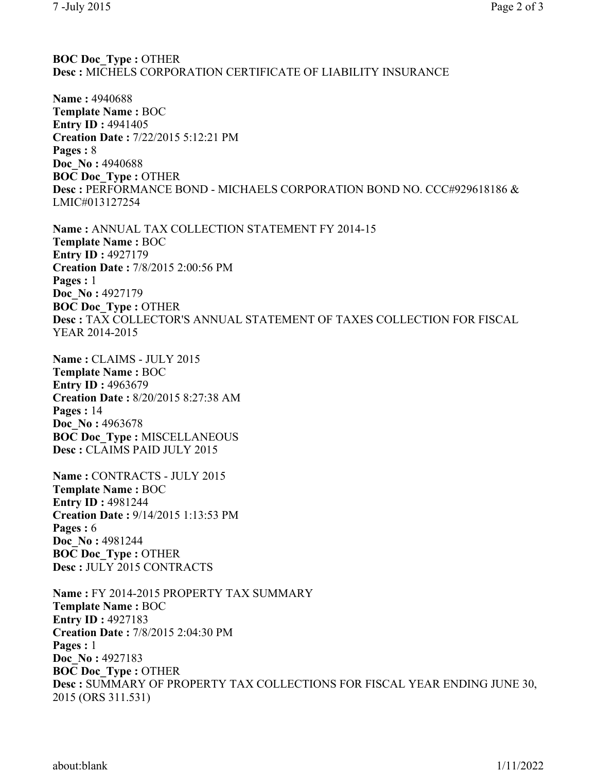## **BOC Doc\_Type :** OTHER **Desc :** MICHELS CORPORATION CERTIFICATE OF LIABILITY INSURANCE

**Name :** 4940688 **Template Name :** BOC **Entry ID: 4941405 Creation Date :** 7/22/2015 5:12:21 PM **Pages :** 8 **Doc\_No :** 4940688 **BOC Doc\_Type :** OTHER **Desc :** PERFORMANCE BOND - MICHAELS CORPORATION BOND NO. CCC#929618186 & LMIC#013127254

**Name :** ANNUAL TAX COLLECTION STATEMENT FY 2014-15 **Template Name :** BOC **Entry ID :** 4927179 **Creation Date :** 7/8/2015 2:00:56 PM **Pages :** 1 **Doc\_No :** 4927179 **BOC Doc\_Type :** OTHER **Desc :** TAX COLLECTOR'S ANNUAL STATEMENT OF TAXES COLLECTION FOR FISCAL YEAR 2014-2015

**Name :** CLAIMS - JULY 2015 **Template Name :** BOC **Entry ID :** 4963679 **Creation Date :** 8/20/2015 8:27:38 AM **Pages :** 14 **Doc\_No :** 4963678 **BOC Doc\_Type :** MISCELLANEOUS **Desc :** CLAIMS PAID JULY 2015

**Name :** CONTRACTS - JULY 2015 **Template Name :** BOC **Entry ID: 4981244 Creation Date :** 9/14/2015 1:13:53 PM **Pages :** 6 **Doc\_No :** 4981244 **BOC Doc\_Type :** OTHER **Desc :** JULY 2015 CONTRACTS

**Name :** FY 2014-2015 PROPERTY TAX SUMMARY **Template Name :** BOC **Entry ID :** 4927183 **Creation Date :** 7/8/2015 2:04:30 PM **Pages :** 1 **Doc\_No :** 4927183 **BOC Doc\_Type :** OTHER **Desc :** SUMMARY OF PROPERTY TAX COLLECTIONS FOR FISCAL YEAR ENDING JUNE 30, 2015 (ORS 311.531)